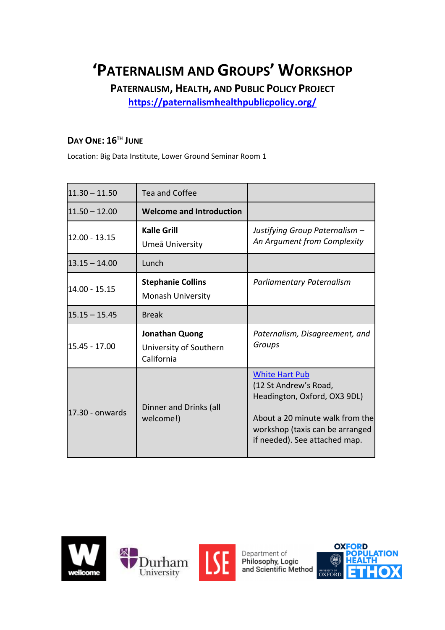# **'PATERNALISM AND GROUPS' WORKSHOP**

**PATERNALISM, HEALTH, AND PUBLIC POLICY PROJECT**

**<https://paternalismhealthpublicpolicy.org/>**

## **DAY ONE: 16TH JUNE**

Location: Big Data Institute, Lower Ground Seminar Room 1

| $11.30 - 11.50$ | Tea and Coffee                                         |                                                                                                                                                                                       |
|-----------------|--------------------------------------------------------|---------------------------------------------------------------------------------------------------------------------------------------------------------------------------------------|
| $11.50 - 12.00$ | <b>Welcome and Introduction</b>                        |                                                                                                                                                                                       |
| 12.00 - 13.15   | <b>Kalle Grill</b><br>Umeå University                  | Justifying Group Paternalism -<br>An Argument from Complexity                                                                                                                         |
| $13.15 - 14.00$ | Lunch                                                  |                                                                                                                                                                                       |
| 14.00 - 15.15   | <b>Stephanie Collins</b><br><b>Monash University</b>   | <b>Parliamentary Paternalism</b>                                                                                                                                                      |
| $15.15 - 15.45$ | <b>Break</b>                                           |                                                                                                                                                                                       |
| 15.45 - 17.00   | Jonathan Quong<br>University of Southern<br>California | Paternalism, Disagreement, and<br>Groups                                                                                                                                              |
| 17.30 - onwards | Dinner and Drinks (all<br>welcome!)                    | <b>White Hart Pub</b><br>(12 St Andrew's Road,<br>Headington, Oxford, OX3 9DL)<br>About a 20 minute walk from the<br>workshop (taxis can be arranged<br>if needed). See attached map. |

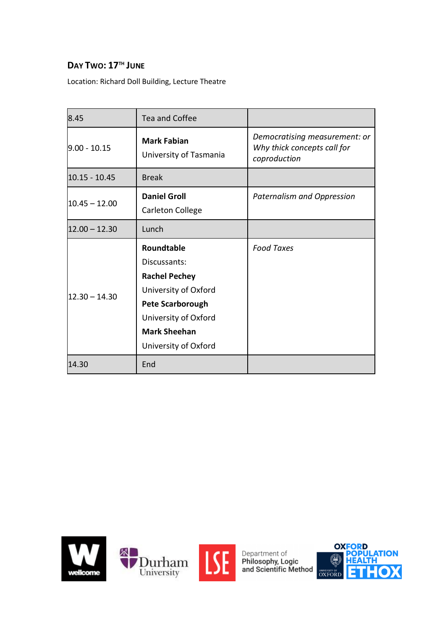## **DAY TWO: 17TH JUNE**

Location: Richard Doll Building, Lecture Theatre

| 8.45            | Tea and Coffee                                                                                                                                                                      |                                                                              |
|-----------------|-------------------------------------------------------------------------------------------------------------------------------------------------------------------------------------|------------------------------------------------------------------------------|
| $9.00 - 10.15$  | <b>Mark Fabian</b><br>University of Tasmania                                                                                                                                        | Democratising measurement: or<br>Why thick concepts call for<br>coproduction |
| $10.15 - 10.45$ | <b>Break</b>                                                                                                                                                                        |                                                                              |
| $10.45 - 12.00$ | <b>Daniel Groll</b><br>Carleton College                                                                                                                                             | Paternalism and Oppression                                                   |
| $12.00 - 12.30$ | Lunch                                                                                                                                                                               |                                                                              |
| $12.30 - 14.30$ | <b>Roundtable</b><br>Discussants:<br><b>Rachel Pechey</b><br>University of Oxford<br><b>Pete Scarborough</b><br>University of Oxford<br><b>Mark Sheehan</b><br>University of Oxford | <b>Food Taxes</b>                                                            |
| 14.30           | End                                                                                                                                                                                 |                                                                              |



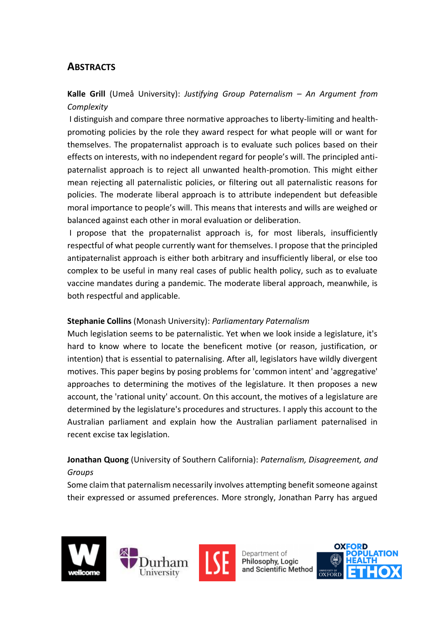## **ABSTRACTS**

**Kalle Grill** (Umeå University): *Justifying Group Paternalism – An Argument from Complexity*

I distinguish and compare three normative approaches to liberty-limiting and healthpromoting policies by the role they award respect for what people will or want for themselves. The propaternalist approach is to evaluate such polices based on their effects on interests, with no independent regard for people's will. The principled antipaternalist approach is to reject all unwanted health-promotion. This might either mean rejecting all paternalistic policies, or filtering out all paternalistic reasons for policies. The moderate liberal approach is to attribute independent but defeasible moral importance to people's will. This means that interests and wills are weighed or balanced against each other in moral evaluation or deliberation.

I propose that the propaternalist approach is, for most liberals, insufficiently respectful of what people currently want for themselves. I propose that the principled antipaternalist approach is either both arbitrary and insufficiently liberal, or else too complex to be useful in many real cases of public health policy, such as to evaluate vaccine mandates during a pandemic. The moderate liberal approach, meanwhile, is both respectful and applicable.

#### **Stephanie Collins** (Monash University): *Parliamentary Paternalism*

Much legislation seems to be paternalistic. Yet when we look inside a legislature, it's hard to know where to locate the beneficent motive (or reason, justification, or intention) that is essential to paternalising. After all, legislators have wildly divergent motives. This paper begins by posing problems for 'common intent' and 'aggregative' approaches to determining the motives of the legislature. It then proposes a new account, the 'rational unity' account. On this account, the motives of a legislature are determined by the legislature's procedures and structures. I apply this account to the Australian parliament and explain how the Australian parliament paternalised in recent excise tax legislation.

### **Jonathan Quong** (University of Southern California): *Paternalism, Disagreement, and Groups*

Some claim that paternalism necessarily involves attempting benefit someone against their expressed or assumed preferences. More strongly, Jonathan Parry has argued



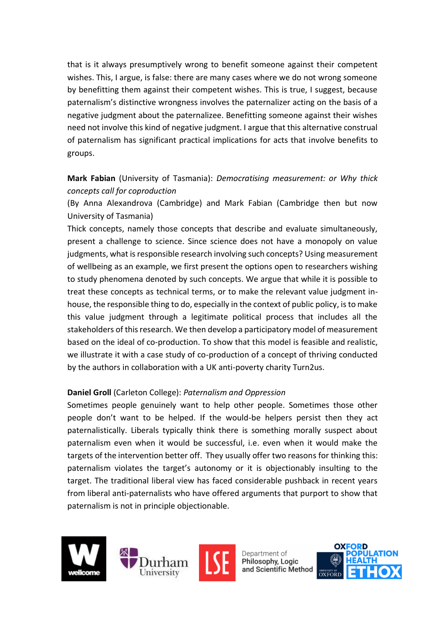that is it always presumptively wrong to benefit someone against their competent wishes. This, I argue, is false: there are many cases where we do not wrong someone by benefitting them against their competent wishes. This is true, I suggest, because paternalism's distinctive wrongness involves the paternalizer acting on the basis of a negative judgment about the paternalizee. Benefitting someone against their wishes need not involve this kind of negative judgment. I argue that this alternative construal of paternalism has significant practical implications for acts that involve benefits to groups.

#### **Mark Fabian** (University of Tasmania): *Democratising measurement: or Why thick concepts call for coproduction*

(By Anna Alexandrova (Cambridge) and Mark Fabian (Cambridge then but now University of Tasmania)

Thick concepts, namely those concepts that describe and evaluate simultaneously, present a challenge to science. Since science does not have a monopoly on value judgments, what isresponsible research involving such concepts? Using measurement of wellbeing as an example, we first present the options open to researchers wishing to study phenomena denoted by such concepts. We argue that while it is possible to treat these concepts as technical terms, or to make the relevant value judgment inhouse, the responsible thing to do, especially in the context of public policy, is to make this value judgment through a legitimate political process that includes all the stakeholders of this research. We then develop a participatory model of measurement based on the ideal of co-production. To show that this model is feasible and realistic, we illustrate it with a case study of co-production of a concept of thriving conducted by the authors in collaboration with a UK anti-poverty charity Turn2us.

#### **Daniel Groll** (Carleton College): *Paternalism and Oppression*

Sometimes people genuinely want to help other people. Sometimes those other people don't want to be helped. If the would-be helpers persist then they act paternalistically. Liberals typically think there is something morally suspect about paternalism even when it would be successful, i.e. even when it would make the targets of the intervention better off. They usually offer two reasons for thinking this: paternalism violates the target's autonomy or it is objectionably insulting to the target. The traditional liberal view has faced considerable pushback in recent years from liberal anti-paternalists who have offered arguments that purport to show that paternalism is not in principle objectionable.